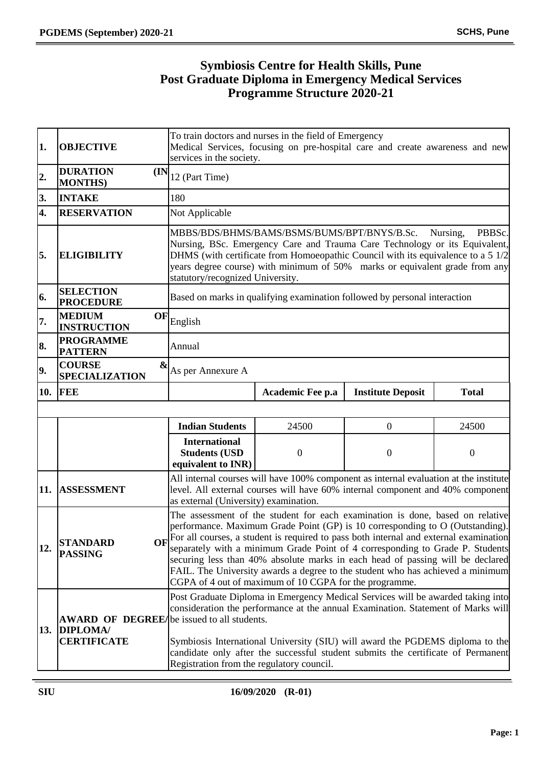# **Symbiosis Centre for Health Skills, Pune Post Graduate Diploma in Emergency Medical Services Programme Structure 2020-21**

| 1.                        | <b>OBJECTIVE</b>                                                                                                                                                                                                                     | To train doctors and nurses in the field of Emergency<br>Medical Services, focusing on pre-hospital care and create awareness and new<br>services in the society.   |                                                                                                                                                                                                                                                                                                                                                                                                                                                                                                                                                                           |                                                                                                                                                                         |              |  |
|---------------------------|--------------------------------------------------------------------------------------------------------------------------------------------------------------------------------------------------------------------------------------|---------------------------------------------------------------------------------------------------------------------------------------------------------------------|---------------------------------------------------------------------------------------------------------------------------------------------------------------------------------------------------------------------------------------------------------------------------------------------------------------------------------------------------------------------------------------------------------------------------------------------------------------------------------------------------------------------------------------------------------------------------|-------------------------------------------------------------------------------------------------------------------------------------------------------------------------|--------------|--|
| $\overline{\mathbf{2}}$ . | <b>DURATION</b><br>(IN)<br><b>MONTHS)</b>                                                                                                                                                                                            | 12 (Part Time)                                                                                                                                                      |                                                                                                                                                                                                                                                                                                                                                                                                                                                                                                                                                                           |                                                                                                                                                                         |              |  |
| 3.                        | <b>INTAKE</b>                                                                                                                                                                                                                        | 180                                                                                                                                                                 |                                                                                                                                                                                                                                                                                                                                                                                                                                                                                                                                                                           |                                                                                                                                                                         |              |  |
| 4.                        | <b>RESERVATION</b>                                                                                                                                                                                                                   | Not Applicable                                                                                                                                                      |                                                                                                                                                                                                                                                                                                                                                                                                                                                                                                                                                                           |                                                                                                                                                                         |              |  |
| 5.                        | <b>ELIGIBILITY</b>                                                                                                                                                                                                                   |                                                                                                                                                                     | MBBS/BDS/BHMS/BAMS/BSMS/BUMS/BPT/BNYS/B.Sc.<br>PBBSc.<br>Nursing,<br>Nursing, BSc. Emergency Care and Trauma Care Technology or its Equivalent,<br>DHMS (with certificate from Homoeopathic Council with its equivalence to a 5 1/2<br>years degree course) with minimum of 50% marks or equivalent grade from any<br>statutory/recognized University.                                                                                                                                                                                                                    |                                                                                                                                                                         |              |  |
| 6.                        | <b>SELECTION</b><br><b>PROCEDURE</b>                                                                                                                                                                                                 |                                                                                                                                                                     | Based on marks in qualifying examination followed by personal interaction                                                                                                                                                                                                                                                                                                                                                                                                                                                                                                 |                                                                                                                                                                         |              |  |
| 7.                        | <b>MEDIUM</b><br>OF<br><b>INSTRUCTION</b>                                                                                                                                                                                            | English                                                                                                                                                             |                                                                                                                                                                                                                                                                                                                                                                                                                                                                                                                                                                           |                                                                                                                                                                         |              |  |
| 8.                        | <b>PROGRAMME</b><br><b>PATTERN</b>                                                                                                                                                                                                   | Annual                                                                                                                                                              |                                                                                                                                                                                                                                                                                                                                                                                                                                                                                                                                                                           |                                                                                                                                                                         |              |  |
| 9.                        | <b>COURSE</b><br>&<br><b>SPECIALIZATION</b>                                                                                                                                                                                          | As per Annexure A                                                                                                                                                   |                                                                                                                                                                                                                                                                                                                                                                                                                                                                                                                                                                           |                                                                                                                                                                         |              |  |
| 10.                       | <b>FEE</b>                                                                                                                                                                                                                           |                                                                                                                                                                     | Academic Fee p.a                                                                                                                                                                                                                                                                                                                                                                                                                                                                                                                                                          | <b>Institute Deposit</b>                                                                                                                                                | <b>Total</b> |  |
|                           |                                                                                                                                                                                                                                      |                                                                                                                                                                     |                                                                                                                                                                                                                                                                                                                                                                                                                                                                                                                                                                           |                                                                                                                                                                         |              |  |
|                           |                                                                                                                                                                                                                                      | <b>Indian Students</b>                                                                                                                                              | 24500                                                                                                                                                                                                                                                                                                                                                                                                                                                                                                                                                                     | $\overline{0}$                                                                                                                                                          | 24500        |  |
|                           |                                                                                                                                                                                                                                      | <b>International</b><br><b>Students (USD</b><br>equivalent to INR)                                                                                                  | $\mathbf{0}$                                                                                                                                                                                                                                                                                                                                                                                                                                                                                                                                                              | $\mathbf{0}$                                                                                                                                                            | $\mathbf{0}$ |  |
| 11.                       | <b>ASSESSMENT</b>                                                                                                                                                                                                                    | as external (University) examination.                                                                                                                               |                                                                                                                                                                                                                                                                                                                                                                                                                                                                                                                                                                           | All internal courses will have 100% component as internal evaluation at the institute<br>level. All external courses will have 60% internal component and 40% component |              |  |
| 12.                       | <b>STANDARD</b><br><b>PASSING</b>                                                                                                                                                                                                    |                                                                                                                                                                     | The assessment of the student for each examination is done, based on relative<br>performance. Maximum Grade Point (GP) is 10 corresponding to O (Outstanding).<br>OF For all courses, a student is required to pass both internal and external examination<br>separately with a minimum Grade Point of 4 corresponding to Grade P. Students<br>securing less than 40% absolute marks in each head of passing will be declared<br>FAIL. The University awards a degree to the student who has achieved a minimum<br>CGPA of 4 out of maximum of 10 CGPA for the programme. |                                                                                                                                                                         |              |  |
| 13.                       | <b>AWARD OF DEGREE/</b> be issued to all students.<br>DIPLOMA/                                                                                                                                                                       | Post Graduate Diploma in Emergency Medical Services will be awarded taking into<br>consideration the performance at the annual Examination. Statement of Marks will |                                                                                                                                                                                                                                                                                                                                                                                                                                                                                                                                                                           |                                                                                                                                                                         |              |  |
|                           | <b>CERTIFICATE</b><br>Symbiosis International University (SIU) will award the PGDEMS diploma to the<br>candidate only after the successful student submits the certificate of Permanent<br>Registration from the regulatory council. |                                                                                                                                                                     |                                                                                                                                                                                                                                                                                                                                                                                                                                                                                                                                                                           |                                                                                                                                                                         |              |  |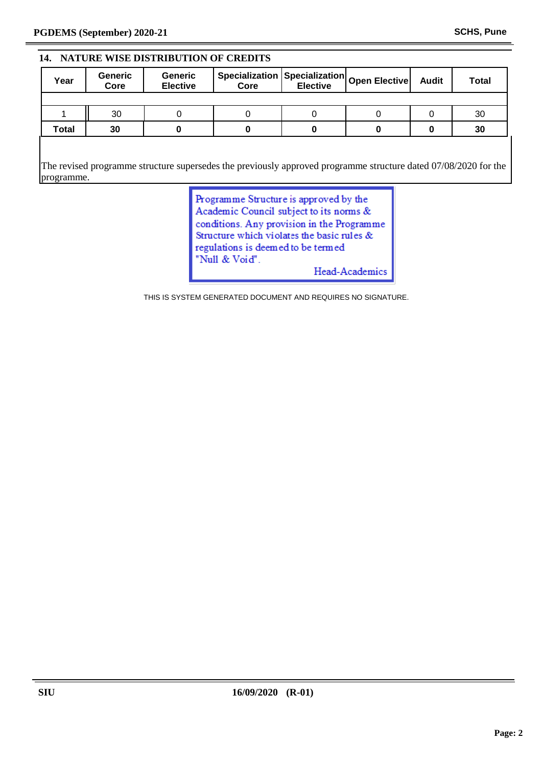#### **14. NATURE WISE DISTRIBUTION OF CREDITS**

| Year  | <b>Generic</b><br>Core | <b>Generic</b><br><b>Elective</b> | Specialization Specialization Open Elective<br>Core                                                             | <b>Elective</b> | <b>Audit</b> | <b>Total</b> |
|-------|------------------------|-----------------------------------|-----------------------------------------------------------------------------------------------------------------|-----------------|--------------|--------------|
|       |                        |                                   |                                                                                                                 |                 |              |              |
|       | 30                     | 0                                 |                                                                                                                 | O               |              | 30           |
| Total | 30                     | 0                                 |                                                                                                                 |                 | 0            | 30           |
|       |                        |                                   |                                                                                                                 |                 |              |              |
|       |                        |                                   | the contract of the contract of the contract of the contract of the contract of the contract of the contract of |                 |              | .            |

The revised programme structure supersedes the previously approved programme structure dated 07/08/2020 for the programme.

> Programme Structure is approved by the Academic Council subject to its norms & conditions. Any provision in the Programme Structure which violates the basic rules  $\&$ regulations is deemed to be termed "Null & Void". Head-Academics

THIS IS SYSTEM GENERATED DOCUMENT AND REQUIRES NO SIGNATURE.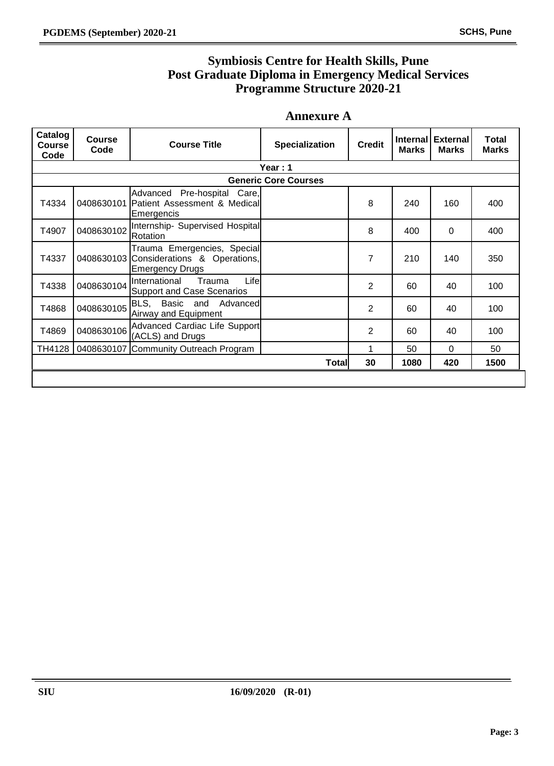# **Symbiosis Centre for Health Skills, Pune Post Graduate Diploma in Emergency Medical Services Programme Structure 2020-21**

### **Annexure A**

| Catalog<br><b>Course</b><br>Code | <b>Course</b><br>Code | <b>Course Title</b>                                                                              | <b>Specialization</b>       | <b>Credit</b>  | <b>Internal</b><br><b>Marks</b> | <b>External</b><br><b>Marks</b> | Total<br><b>Marks</b> |  |
|----------------------------------|-----------------------|--------------------------------------------------------------------------------------------------|-----------------------------|----------------|---------------------------------|---------------------------------|-----------------------|--|
|                                  | Year: 1               |                                                                                                  |                             |                |                                 |                                 |                       |  |
|                                  |                       |                                                                                                  | <b>Generic Core Courses</b> |                |                                 |                                 |                       |  |
| T4334                            |                       | Advanced Pre-hospital Care,<br>0408630101 Patient Assessment & Medical<br>Emergencis             |                             | 8              | 240                             | 160                             | 400                   |  |
| T4907                            | 0408630102            | Internship- Supervised Hospital<br>Rotation                                                      |                             | 8              | 400                             | $\mathbf{0}$                    | 400                   |  |
| T4337                            |                       | Trauma Emergencies, Special<br>0408630103 Considerations & Operations,<br><b>Emergency Drugs</b> |                             | $\overline{7}$ | 210                             | 140                             | 350                   |  |
| T4338                            | 0408630104            | Life<br>International<br>Trauma<br><b>Support and Case Scenarios</b>                             |                             | 2              | 60                              | 40                              | 100                   |  |
| T4868                            | 0408630105            | BLS, Basic and Advanced<br>Airway and Equipment                                                  |                             | 2              | 60                              | 40                              | 100                   |  |
| T4869                            | 0408630106            | Advanced Cardiac Life Support<br>(ACLS) and Drugs                                                |                             | 2              | 60                              | 40                              | 100                   |  |
| TH4128                           |                       | 0408630107 Community Outreach Program                                                            |                             |                | 50                              | $\Omega$                        | 50                    |  |
|                                  |                       |                                                                                                  | <b>Total</b>                | 30             | 1080                            | 420                             | 1500                  |  |
|                                  |                       |                                                                                                  |                             |                |                                 |                                 |                       |  |